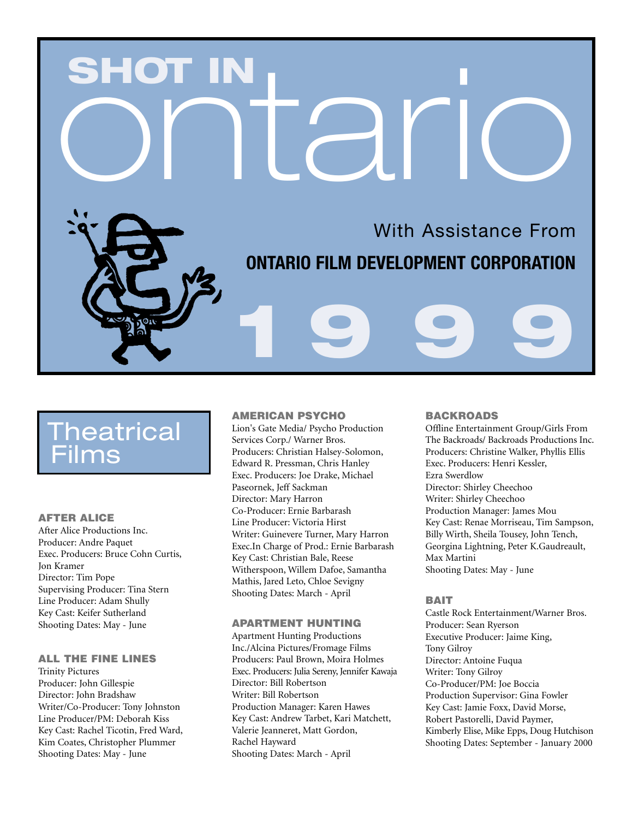# SHOT IN<br>Ontario

# **ONTARIO FILM DEVELOPMENT CORPORATION**

**1 9 9 9**

# Theatrical ilms

## **AFTER ALICE**

After Alice Productions Inc. Producer: Andre Paquet Exec. Producers: Bruce Cohn Curtis, Jon Kramer Director: Tim Pope Supervising Producer: Tina Stern Line Producer: Adam Shully Key Cast: Keifer Sutherland Shooting Dates: May - June

# **ALL THE FINE LINES**

Trinity Pictures Producer: John Gillespie Director: John Bradshaw Writer/Co-Producer: Tony Johnston Line Producer/PM: Deborah Kiss Key Cast: Rachel Ticotin, Fred Ward, Kim Coates, Christopher Plummer Shooting Dates: May - June

# **AMERICAN PSYCHO**

Lion's Gate Media/ Psycho Production Services Corp./ Warner Bros. Producers: Christian Halsey-Solomon, Edward R. Pressman, Chris Hanley Exec. Producers: Joe Drake, Michael Paseornek, Jeff Sackman Director: Mary Harron Co-Producer: Ernie Barbarash Line Producer: Victoria Hirst Writer: Guinevere Turner, Mary Harron Exec.In Charge of Prod.: Ernie Barbarash Key Cast: Christian Bale, Reese Witherspoon, Willem Dafoe, Samantha Mathis, Jared Leto, Chloe Sevigny Shooting Dates: March - April

#### **APARTMENT HUNTING**

Apartment Hunting Productions Inc./Alcina Pictures/Fromage Films Producers: Paul Brown, Moira Holmes Exec. Producers: Julia Sereny, Jennifer Kawaja Director: Bill Robertson Writer: Bill Robertson Production Manager: Karen Hawes Key Cast: Andrew Tarbet, Kari Matchett, Valerie Jeanneret, Matt Gordon, Rachel Hayward Shooting Dates: March - April

# **BACKROADS**

With Assistance From

Offline Entertainment Group/Girls From The Backroads/ Backroads Productions Inc. Producers: Christine Walker, Phyllis Ellis Exec. Producers: Henri Kessler, Ezra Swerdlow Director: Shirley Cheechoo Writer: Shirley Cheechoo Production Manager: James Mou Key Cast: Renae Morriseau, Tim Sampson, Billy Wirth, Sheila Tousey, John Tench, Georgina Lightning, Peter K.Gaudreault, Max Martini Shooting Dates: May - June

#### **BAIT**

Castle Rock Entertainment/Warner Bros. Producer: Sean Ryerson Executive Producer: Jaime King, Tony Gilroy Director: Antoine Fuqua Writer: Tony Gilroy Co-Producer/PM: Joe Boccia Production Supervisor: Gina Fowler Key Cast: Jamie Foxx, David Morse, Robert Pastorelli, David Paymer, Kimberly Elise, Mike Epps, Doug Hutchison Shooting Dates: September - January 2000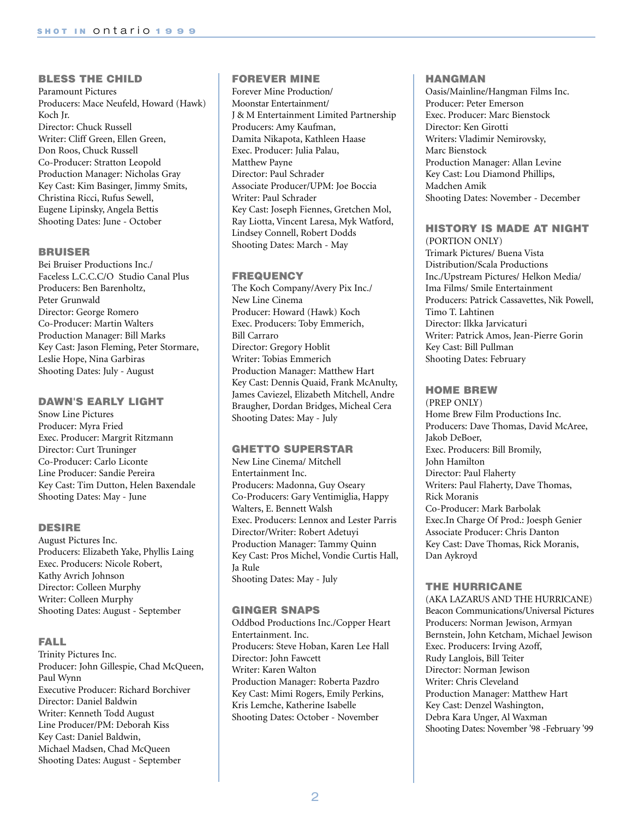# **BLESS THE CHILD**

Paramount Pictures Producers: Mace Neufeld, Howard (Hawk) Koch Jr. Director: Chuck Russell Writer: Cliff Green, Ellen Green, Don Roos, Chuck Russell Co-Producer: Stratton Leopold Production Manager: Nicholas Gray Key Cast: Kim Basinger, Jimmy Smits, Christina Ricci, Rufus Sewell, Eugene Lipinsky, Angela Bettis Shooting Dates: June - October

## **BRUISER**

Bei Bruiser Productions Inc./ Faceless L.C.C.C/O Studio Canal Plus Producers: Ben Barenholtz, Peter Grunwald Director: George Romero Co-Producer: Martin Walters Production Manager: Bill Marks Key Cast: Jason Fleming, Peter Stormare, Leslie Hope, Nina Garbiras Shooting Dates: July - August

## **DAWN'S EARLY LIGHT**

Snow Line Pictures Producer: Myra Fried Exec. Producer: Margrit Ritzmann Director: Curt Truninger Co-Producer: Carlo Liconte Line Producer: Sandie Pereira Key Cast: Tim Dutton, Helen Baxendale Shooting Dates: May - June

#### **DESIRE**

August Pictures Inc. Producers: Elizabeth Yake, Phyllis Laing Exec. Producers: Nicole Robert, Kathy Avrich Johnson Director: Colleen Murphy Writer: Colleen Murphy Shooting Dates: August - September

# **FALL**

Trinity Pictures Inc. Producer: John Gillespie, Chad McQueen, Paul Wynn Executive Producer: Richard Borchiver Director: Daniel Baldwin Writer: Kenneth Todd August Line Producer/PM: Deborah Kiss Key Cast: Daniel Baldwin, Michael Madsen, Chad McQueen Shooting Dates: August - September

# **FOREVER MINE**

Forever Mine Production/ Moonstar Entertainment/ J & M Entertainment Limited Partnership Producers: Amy Kaufman, Damita Nikapota, Kathleen Haase Exec. Producer: Julia Palau, Matthew Payne Director: Paul Schrader Associate Producer/UPM: Joe Boccia Writer: Paul Schrader Key Cast: Joseph Fiennes, Gretchen Mol, Ray Liotta, Vincent Laresa, Myk Watford, Lindsey Connell, Robert Dodds Shooting Dates: March - May

## **FREQUENCY**

The Koch Company/Avery Pix Inc./ New Line Cinema Producer: Howard (Hawk) Koch Exec. Producers: Toby Emmerich, Bill Carraro Director: Gregory Hoblit Writer: Tobias Emmerich Production Manager: Matthew Hart Key Cast: Dennis Quaid, Frank McAnulty, James Caviezel, Elizabeth Mitchell, Andre Braugher, Dordan Bridges, Micheal Cera Shooting Dates: May - July

#### **GHETTO SUPERSTAR**

New Line Cinema/ Mitchell Entertainment Inc. Producers: Madonna, Guy Oseary Co-Producers: Gary Ventimiglia, Happy Walters, E. Bennett Walsh Exec. Producers: Lennox and Lester Parris Director/Writer: Robert Adetuyi Production Manager: Tammy Quinn Key Cast: Pros Michel, Vondie Curtis Hall, Ja Rule Shooting Dates: May - July

# **GINGER SNAPS**

Oddbod Productions Inc./Copper Heart Entertainment. Inc. Producers: Steve Hoban, Karen Lee Hall Director: John Fawcett Writer: Karen Walton Production Manager: Roberta Pazdro Key Cast: Mimi Rogers, Emily Perkins, Kris Lemche, Katherine Isabelle Shooting Dates: October - November

#### **HANGMAN**

Oasis/Mainline/Hangman Films Inc. Producer: Peter Emerson Exec. Producer: Marc Bienstock Director: Ken Girotti Writers: Vladimir Nemirovsky, Marc Bienstock Production Manager: Allan Levine Key Cast: Lou Diamond Phillips, Madchen Amik Shooting Dates: November - December

#### **HISTORY IS MADE AT NIGHT**  (PORTION ONLY)

Trimark Pictures/ Buena Vista Distribution/Scala Productions Inc./Upstream Pictures/ Helkon Media/ Ima Films/ Smile Entertainment Producers: Patrick Cassavettes, Nik Powell, Timo T. Lahtinen Director: Ilkka Jarvicaturi Writer: Patrick Amos, Jean-Pierre Gorin Key Cast: Bill Pullman Shooting Dates: February

## **HOME BREW**

(PREP ONLY) Home Brew Film Productions Inc. Producers: Dave Thomas, David McAree, Jakob DeBoer, Exec. Producers: Bill Bromily, John Hamilton Director: Paul Flaherty Writers: Paul Flaherty, Dave Thomas, Rick Moranis Co-Producer: Mark Barbolak Exec.In Charge Of Prod.: Joesph Genier Associate Producer: Chris Danton Key Cast: Dave Thomas, Rick Moranis, Dan Aykroyd

# **THE HURRICANE**

(AKA LAZARUS AND THE HURRICANE) Beacon Communications/Universal Pictures Producers: Norman Jewison, Armyan Bernstein, John Ketcham, Michael Jewison Exec. Producers: Irving Azoff, Rudy Langlois, Bill Teiter Director: Norman Jewison Writer: Chris Cleveland Production Manager: Matthew Hart Key Cast: Denzel Washington, Debra Kara Unger, Al Waxman Shooting Dates: November '98 -February '99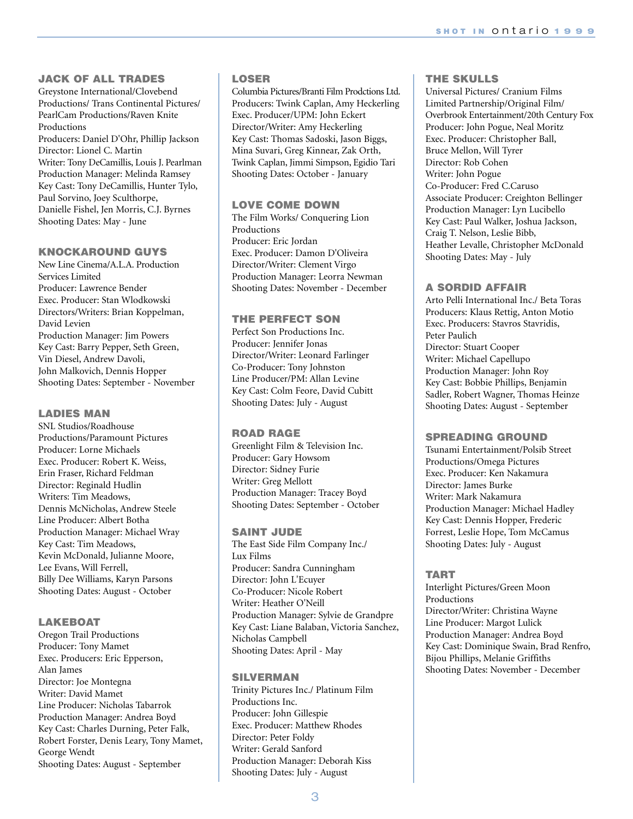## **JACK OF ALL TRADES**

Greystone International/Clovebend Productions/ Trans Continental Pictures/ PearlCam Productions/Raven Knite Productions Producers: Daniel D'Ohr, Phillip Jackson Director: Lionel C. Martin Writer: Tony DeCamillis, Louis J. Pearlman Production Manager: Melinda Ramsey Key Cast: Tony DeCamillis, Hunter Tylo, Paul Sorvino, Joey Sculthorpe, Danielle Fishel, Jen Morris, C.J. Byrnes Shooting Dates: May - June

# **KNOCKAROUND GUYS**

New Line Cinema/A.L.A. Production Services Limited Producer: Lawrence Bender Exec. Producer: Stan Wlodkowski Directors/Writers: Brian Koppelman, David Levien Production Manager: Jim Powers Key Cast: Barry Pepper, Seth Green, Vin Diesel, Andrew Davoli, John Malkovich, Dennis Hopper Shooting Dates: September - November

#### **LADIES MAN**

SNL Studios/Roadhouse Productions/Paramount Pictures Producer: Lorne Michaels Exec. Producer: Robert K. Weiss, Erin Fraser, Richard Feldman Director: Reginald Hudlin Writers: Tim Meadows, Dennis McNicholas, Andrew Steele Line Producer: Albert Botha Production Manager: Michael Wray Key Cast: Tim Meadows, Kevin McDonald, Julianne Moore, Lee Evans, Will Ferrell, Billy Dee Williams, Karyn Parsons Shooting Dates: August - October

#### **LAKEBOAT**

Oregon Trail Productions Producer: Tony Mamet Exec. Producers: Eric Epperson, Alan James Director: Joe Montegna Writer: David Mamet Line Producer: Nicholas Tabarrok Production Manager: Andrea Boyd Key Cast: Charles Durning, Peter Falk, Robert Forster, Denis Leary, Tony Mamet, George Wendt Shooting Dates: August - September

#### **LOSER**

Columbia Pictures/Branti Film Prodctions Ltd. Producers: Twink Caplan, Amy Heckerling Exec. Producer/UPM: John Eckert Director/Writer: Amy Heckerling Key Cast: Thomas Sadoski, Jason Biggs, Mina Suvari, Greg Kinnear, Zak Orth, Twink Caplan, Jimmi Simpson, Egidio Tari Shooting Dates: October - January

#### **LOVE COME DOWN**

The Film Works/ Conquering Lion Productions Producer: Eric Jordan Exec. Producer: Damon D'Oliveira Director/Writer: Clement Virgo Production Manager: Leorra Newman Shooting Dates: November - December

# **THE PERFECT SON**

Perfect Son Productions Inc. Producer: Jennifer Jonas Director/Writer: Leonard Farlinger Co-Producer: Tony Johnston Line Producer/PM: Allan Levine Key Cast: Colm Feore, David Cubitt Shooting Dates: July - August

#### **ROAD RAGE**

Greenlight Film & Television Inc. Producer: Gary Howsom Director: Sidney Furie Writer: Greg Mellott Production Manager: Tracey Boyd Shooting Dates: September - October

#### **SAINT JUDE**

The East Side Film Company Inc./ Lux Films Producer: Sandra Cunningham Director: John L'Ecuyer Co-Producer: Nicole Robert Writer: Heather O'Neill Production Manager: Sylvie de Grandpre Key Cast: Liane Balaban, Victoria Sanchez, Nicholas Campbell Shooting Dates: April - May

#### **SILVERMAN**

Trinity Pictures Inc./ Platinum Film Productions Inc. Producer: John Gillespie Exec. Producer: Matthew Rhodes Director: Peter Foldy Writer: Gerald Sanford Production Manager: Deborah Kiss Shooting Dates: July - August

# **THE SKULLS**

Universal Pictures/ Cranium Films Limited Partnership/Original Film/ Overbrook Entertainment/20th Century Fox Producer: John Pogue, Neal Moritz Exec. Producer: Christopher Ball, Bruce Mellon, Will Tyrer Director: Rob Cohen Writer: John Pogue Co-Producer: Fred C.Caruso Associate Producer: Creighton Bellinger Production Manager: Lyn Lucibello Key Cast: Paul Walker, Joshua Jackson, Craig T. Nelson, Leslie Bibb, Heather Levalle, Christopher McDonald Shooting Dates: May - July

#### **A SORDID AFFAIR**

Arto Pelli International Inc./ Beta Toras Producers: Klaus Rettig, Anton Motio Exec. Producers: Stavros Stavridis, Peter Paulich Director: Stuart Cooper Writer: Michael Capellupo Production Manager: John Roy Key Cast: Bobbie Phillips, Benjamin Sadler, Robert Wagner, Thomas Heinze Shooting Dates: August - September

# **SPREADING GROUND**

Tsunami Entertainment/Polsib Street Productions/Omega Pictures Exec. Producer: Ken Nakamura Director: James Burke Writer: Mark Nakamura Production Manager: Michael Hadley Key Cast: Dennis Hopper, Frederic Forrest, Leslie Hope, Tom McCamus Shooting Dates: July - August

#### **TART**

Interlight Pictures/Green Moon Productions Director/Writer: Christina Wayne Line Producer: Margot Lulick Production Manager: Andrea Boyd Key Cast: Dominique Swain, Brad Renfro, Bijou Phillips, Melanie Griffiths Shooting Dates: November - December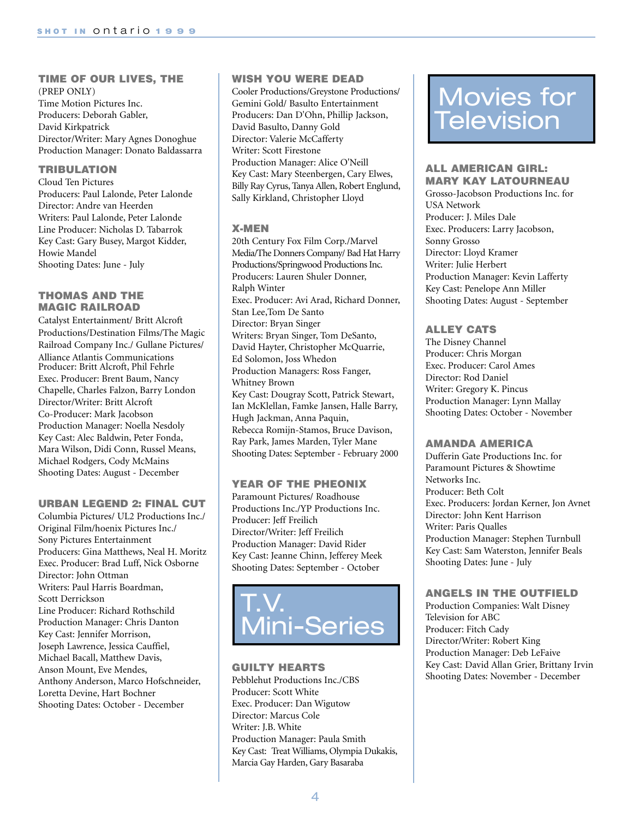#### **TIME OF OUR LIVES, THE**  (PREP ONLY)

Time Motion Pictures Inc. Producers: Deborah Gabler, David Kirkpatrick Director/Writer: Mary Agnes Donoghue Production Manager: Donato Baldassarra

# **TRIBULATION**

Cloud Ten Pictures Producers: Paul Lalonde, Peter Lalonde Director: Andre van Heerden Writers: Paul Lalonde, Peter Lalonde Line Producer: Nicholas D. Tabarrok Key Cast: Gary Busey, Margot Kidder, Howie Mandel Shooting Dates: June - July

# **THOMAS AND THE MAGIC RAILROAD**

Catalyst Entertainment/ Britt Alcroft Productions/Destination Films/The Magic Railroad Company Inc./ Gullane Pictures/ Alliance Atlantis Communications Producer: Britt Alcroft, Phil Fehrle Exec. Producer: Brent Baum, Nancy Chapelle, Charles Falzon, Barry London Director/Writer: Britt Alcroft Co-Producer: Mark Jacobson Production Manager: Noella Nesdoly Key Cast: Alec Baldwin, Peter Fonda, Mara Wilson, Didi Conn, Russel Means, Michael Rodgers, Cody McMains Shooting Dates: August - December

#### **URBAN LEGEND 2: FINAL CUT**

Columbia Pictures/ UL2 Productions Inc./ Original Film/hoenix Pictures Inc./ Sony Pictures Entertainment Producers: Gina Matthews, Neal H. Moritz Exec. Producer: Brad Luff, Nick Osborne Director: John Ottman Writers: Paul Harris Boardman, Scott Derrickson Line Producer: Richard Rothschild Production Manager: Chris Danton Key Cast: Jennifer Morrison, Joseph Lawrence, Jessica Cauffiel, Michael Bacall, Matthew Davis, Anson Mount, Eve Mendes, Anthony Anderson, Marco Hofschneider, Loretta Devine, Hart Bochner Shooting Dates: October - December

## **WISH YOU WERE DEAD**

Cooler Productions/Greystone Productions/ Gemini Gold/ Basulto Entertainment Producers: Dan D'Ohn, Phillip Jackson, David Basulto, Danny Gold Director: Valerie McCafferty Writer: Scott Firestone Production Manager: Alice O'Neill Key Cast: Mary Steenbergen, Cary Elwes, Billy Ray Cyrus, Tanya Allen, Robert Englund, Sally Kirkland, Christopher Lloyd

# **X-MEN**

20th Century Fox Film Corp./Marvel Media/The Donners Company/ Bad Hat Harry Productions/Springwood Productions Inc. Producers: Lauren Shuler Donner, Ralph Winter Exec. Producer: Avi Arad, Richard Donner, Stan Lee,Tom De Santo Director: Bryan Singer Writers: Bryan Singer, Tom DeSanto, David Hayter, Christopher McQuarrie, Ed Solomon, Joss Whedon Production Managers: Ross Fanger, Whitney Brown Key Cast: Dougray Scott, Patrick Stewart, Ian McKlellan, Famke Jansen, Halle Barry, Hugh Jackman, Anna Paquin, Rebecca Romijn-Stamos, Bruce Davison, Ray Park, James Marden, Tyler Mane Shooting Dates: September - February 2000

# **YEAR OF THE PHEONIX**

Paramount Pictures/ Roadhouse Productions Inc./YP Productions Inc. Producer: Jeff Freilich Director/Writer: Jeff Freilich Production Manager: David Rider Key Cast: Jeanne Chinn, Jefferey Meek Shooting Dates: September - October



# **GUILTY HEARTS**

Pebblehut Productions Inc./CBS Producer: Scott White Exec. Producer: Dan Wigutow Director: Marcus Cole Writer: J.B. White Production Manager: Paula Smith Key Cast: Treat Williams, Olympia Dukakis, Marcia Gay Harden, Gary Basaraba

# Movies for Television

#### **ALL AMERICAN GIRL: MARY KAY LATOURNEAU**

Grosso-Jacobson Productions Inc. for USA Network Producer: J. Miles Dale Exec. Producers: Larry Jacobson, Sonny Grosso Director: Lloyd Kramer Writer: Julie Herbert Production Manager: Kevin Lafferty Key Cast: Penelope Ann Miller Shooting Dates: August - September

# **ALLEY CATS**

The Disney Channel Producer: Chris Morgan Exec. Producer: Carol Ames Director: Rod Daniel Writer: Gregory K. Pincus Production Manager: Lynn Mallay Shooting Dates: October - November

#### **AMANDA AMERICA**

Dufferin Gate Productions Inc. for Paramount Pictures & Showtime Networks Inc. Producer: Beth Colt Exec. Producers: Jordan Kerner, Jon Avnet Director: John Kent Harrison Writer: Paris Qualles Production Manager: Stephen Turnbull Key Cast: Sam Waterston, Jennifer Beals Shooting Dates: June - July

# **ANGELS IN THE OUTFIELD**

Production Companies: Walt Disney Television for ABC Producer: Fitch Cady Director/Writer: Robert King Production Manager: Deb LeFaive Key Cast: David Allan Grier, Brittany Irvin Shooting Dates: November - December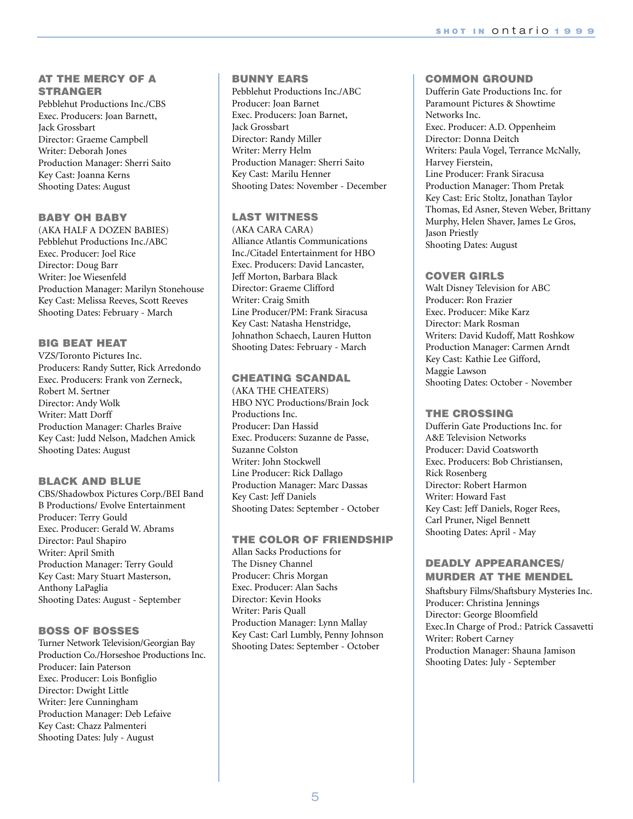# **AT THE MERCY OF A STRANGER**

Pebblehut Productions Inc./CBS Exec. Producers: Joan Barnett, Jack Grossbart Director: Graeme Campbell Writer: Deborah Jones Production Manager: Sherri Saito Key Cast: Joanna Kerns Shooting Dates: August

# **BABY OH BABY**

(AKA HALF A DOZEN BABIES) Pebblehut Productions Inc./ABC Exec. Producer: Joel Rice Director: Doug Barr Writer: Joe Wiesenfeld Production Manager: Marilyn Stonehouse Key Cast: Melissa Reeves, Scott Reeves Shooting Dates: February - March

# **BIG BEAT HEAT**

VZS/Toronto Pictures Inc. Producers: Randy Sutter, Rick Arredondo Exec. Producers: Frank von Zerneck, Robert M. Sertner Director: Andy Wolk Writer: Matt Dorff Production Manager: Charles Braive Key Cast: Judd Nelson, Madchen Amick Shooting Dates: August

# **BLACK AND BLUE**

CBS/Shadowbox Pictures Corp./BEI Band B Productions/ Evolve Entertainment Producer: Terry Gould Exec. Producer: Gerald W. Abrams Director: Paul Shapiro Writer: April Smith Production Manager: Terry Gould Key Cast: Mary Stuart Masterson, Anthony LaPaglia Shooting Dates: August - September

#### **BOSS OF BOSSES**

Turner Network Television/Georgian Bay Production Co./Horseshoe Productions Inc. Producer: Iain Paterson Exec. Producer: Lois Bonfiglio Director: Dwight Little Writer: Jere Cunningham Production Manager: Deb Lefaive Key Cast: Chazz Palmenteri Shooting Dates: July - August

# **BUNNY EARS**

Pebblehut Productions Inc./ABC Producer: Joan Barnet Exec. Producers: Joan Barnet, Jack Grossbart Director: Randy Miller Writer: Merry Helm Production Manager: Sherri Saito Key Cast: Marilu Henner Shooting Dates: November - December

# **LAST WITNESS**

(AKA CARA CARA) Alliance Atlantis Communications Inc./Citadel Entertainment for HBO Exec. Producers: David Lancaster, Jeff Morton, Barbara Black Director: Graeme Clifford Writer: Craig Smith Line Producer/PM: Frank Siracusa Key Cast: Natasha Henstridge, Johnathon Schaech, Lauren Hutton Shooting Dates: February - March

# **CHEATING SCANDAL**

(AKA THE CHEATERS) HBO NYC Productions/Brain Jock Productions Inc. Producer: Dan Hassid Exec. Producers: Suzanne de Passe, Suzanne Colston Writer: John Stockwell Line Producer: Rick Dallago Production Manager: Marc Dassas Key Cast: Jeff Daniels Shooting Dates: September - October

#### **THE COLOR OF FRIENDSHIP**

Allan Sacks Productions for The Disney Channel Producer: Chris Morgan Exec. Producer: Alan Sachs Director: Kevin Hooks Writer: Paris Quall Production Manager: Lynn Mallay Key Cast: Carl Lumbly, Penny Johnson Shooting Dates: September - October

# **COMMON GROUND**

Dufferin Gate Productions Inc. for Paramount Pictures & Showtime Networks Inc. Exec. Producer: A.D. Oppenheim Director: Donna Deitch Writers: Paula Vogel, Terrance McNally, Harvey Fierstein, Line Producer: Frank Siracusa Production Manager: Thom Pretak Key Cast: Eric Stoltz, Jonathan Taylor Thomas, Ed Asner, Steven Weber, Brittany Murphy, Helen Shaver, James Le Gros, Jason Priestly Shooting Dates: August

## **COVER GIRLS**

Walt Disney Television for ABC Producer: Ron Frazier Exec. Producer: Mike Karz Director: Mark Rosman Writers: David Kudoff, Matt Roshkow Production Manager: Carmen Arndt Key Cast: Kathie Lee Gifford, Maggie Lawson Shooting Dates: October - November

#### **THE CROSSING**

Dufferin Gate Productions Inc. for A&E Television Networks Producer: David Coatsworth Exec. Producers: Bob Christiansen, Rick Rosenberg Director: Robert Harmon Writer: Howard Fast Key Cast: Jeff Daniels, Roger Rees, Carl Pruner, Nigel Bennett Shooting Dates: April - May

# **DEADLY APPEARANCES/ MURDER AT THE MENDEL**

Shaftsbury Films/Shaftsbury Mysteries Inc. Producer: Christina Jennings Director: George Bloomfield Exec.In Charge of Prod.: Patrick Cassavetti Writer: Robert Carney Production Manager: Shauna Jamison Shooting Dates: July - September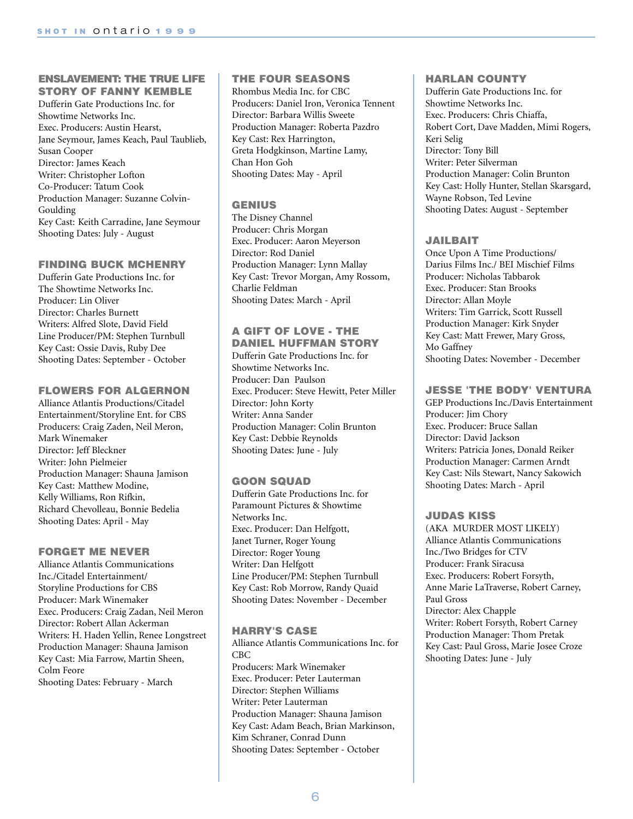#### **ENSLAVEMENT: THE TRUE LIFE STORY OF FANNY KEMBLE**

Dufferin Gate Productions Inc. for Showtime Networks Inc. Exec. Producers: Austin Hearst, Jane Seymour, James Keach, Paul Taublieb, Susan Cooper Director: James Keach Writer: Christopher Lofton Co-Producer: Tatum Cook Production Manager: Suzanne Colvin-Goulding Key Cast: Keith Carradine, Jane Seymour Shooting Dates: July - August

## **FINDING BUCK MCHENRY**

Dufferin Gate Productions Inc. for The Showtime Networks Inc. Producer: Lin Oliver Director: Charles Burnett Writers: Alfred Slote, David Field Line Producer/PM: Stephen Turnbull Key Cast: Ossie Davis, Ruby Dee Shooting Dates: September - October

#### **FLOWERS FOR ALGERNON**

Alliance Atlantis Productions/Citadel Entertainment/Storyline Ent. for CBS Producers: Craig Zaden, Neil Meron, Mark Winemaker Director: Jeff Bleckner Writer: John Pielmeier Production Manager: Shauna Jamison Key Cast: Matthew Modine, Kelly Williams, Ron Rifkin, Richard Chevolleau, Bonnie Bedelia Shooting Dates: April - May

# **FORGET ME NEVER**

Alliance Atlantis Communications Inc./Citadel Entertainment/ Storyline Productions for CBS Producer: Mark Winemaker Exec. Producers: Craig Zadan, Neil Meron Director: Robert Allan Ackerman Writers: H. Haden Yellin, Renee Longstreet Production Manager: Shauna Jamison Key Cast: Mia Farrow, Martin Sheen, Colm Feore Shooting Dates: February - March

# **THE FOUR SEASONS**

Rhombus Media Inc. for CBC Producers: Daniel Iron, Veronica Tennent Director: Barbara Willis Sweete Production Manager: Roberta Pazdro Key Cast: Rex Harrington, Greta Hodgkinson, Martine Lamy, Chan Hon Goh Shooting Dates: May - April

# **GENIUS**

The Disney Channel Producer: Chris Morgan Exec. Producer: Aaron Meyerson Director: Rod Daniel Production Manager: Lynn Mallay Key Cast: Trevor Morgan, Amy Rossom, Charlie Feldman Shooting Dates: March - April

#### **A GIFT OF LOVE - THE DANIEL HUFFMAN STORY**

Dufferin Gate Productions Inc. for Showtime Networks Inc. Producer: Dan Paulson Exec. Producer: Steve Hewitt, Peter Miller Director: John Korty Writer: Anna Sander Production Manager: Colin Brunton Key Cast: Debbie Reynolds Shooting Dates: June - July

# **GOON SQUAD**

Dufferin Gate Productions Inc. for Paramount Pictures & Showtime Networks Inc. Exec. Producer: Dan Helfgott, Janet Turner, Roger Young Director: Roger Young Writer: Dan Helfgott Line Producer/PM: Stephen Turnbull Key Cast: Rob Morrow, Randy Quaid Shooting Dates: November - December

# **HARRY'S CASE**

Alliance Atlantis Communications Inc. for CBC Producers: Mark Winemaker Exec. Producer: Peter Lauterman Director: Stephen Williams Writer: Peter Lauterman Production Manager: Shauna Jamison Key Cast: Adam Beach, Brian Markinson, Kim Schraner, Conrad Dunn Shooting Dates: September - October

# **HARLAN COUNTY**

Dufferin Gate Productions Inc. for Showtime Networks Inc. Exec. Producers: Chris Chiaffa, Robert Cort, Dave Madden, Mimi Rogers, Keri Selig Director: Tony Bill Writer: Peter Silverman Production Manager: Colin Brunton Key Cast: Holly Hunter, Stellan Skarsgard, Wayne Robson, Ted Levine Shooting Dates: August - September

# **JAILBAIT**

Once Upon A Time Productions/ Darius Films Inc./ BEI Mischief Films Producer: Nicholas Tabbarok Exec. Producer: Stan Brooks Director: Allan Moyle Writers: Tim Garrick, Scott Russell Production Manager: Kirk Snyder Key Cast: Matt Frewer, Mary Gross, Mo Gaffney Shooting Dates: November - December

# **JESSE 'THE BODY' VENTURA**

GEP Productions Inc./Davis Entertainment Producer: Jim Chory Exec. Producer: Bruce Sallan Director: David Jackson Writers: Patricia Jones, Donald Reiker Production Manager: Carmen Arndt Key Cast: Nils Stewart, Nancy Sakowich Shooting Dates: March - April

# **JUDAS KISS**

(AKA MURDER MOST LIKELY) Alliance Atlantis Communications Inc./Two Bridges for CTV Producer: Frank Siracusa Exec. Producers: Robert Forsyth, Anne Marie LaTraverse, Robert Carney, Paul Gross Director: Alex Chapple Writer: Robert Forsyth, Robert Carney Production Manager: Thom Pretak Key Cast: Paul Gross, Marie Josee Croze Shooting Dates: June - July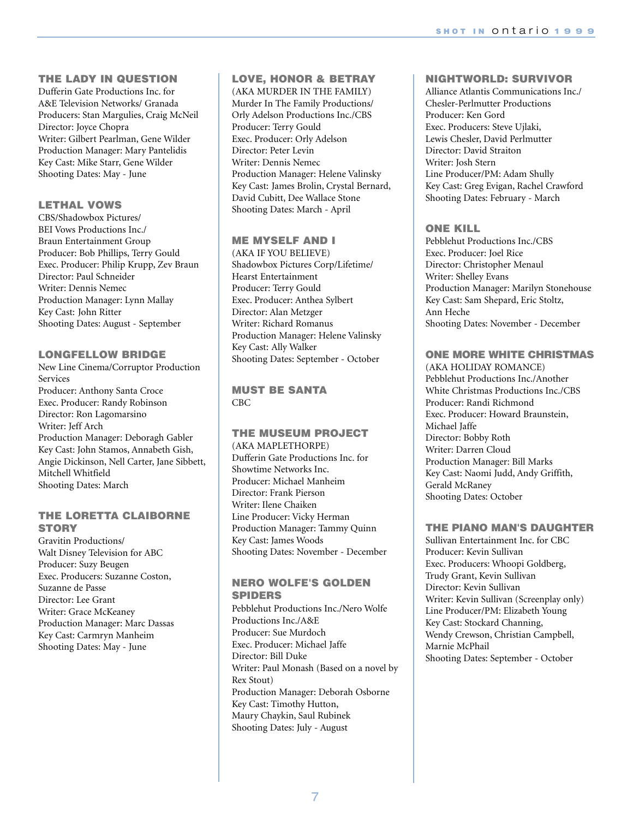# **THE LADY IN QUESTION**

Dufferin Gate Productions Inc. for A&E Television Networks/ Granada Producers: Stan Margulies, Craig McNeil Director: Joyce Chopra Writer: Gilbert Pearlman, Gene Wilder Production Manager: Mary Pantelidis Key Cast: Mike Starr, Gene Wilder Shooting Dates: May - June

# **LETHAL VOWS**

CBS/Shadowbox Pictures/ BEI Vows Productions Inc./ Braun Entertainment Group Producer: Bob Phillips, Terry Gould Exec. Producer: Philip Krupp, Zev Braun Director: Paul Schneider Writer: Dennis Nemec Production Manager: Lynn Mallay Key Cast: John Ritter Shooting Dates: August - September

# **LONGFELLOW BRIDGE**

New Line Cinema/Corruptor Production Services Producer: Anthony Santa Croce Exec. Producer: Randy Robinson Director: Ron Lagomarsino Writer: Jeff Arch Production Manager: Deboragh Gabler Key Cast: John Stamos, Annabeth Gish, Angie Dickinson, Nell Carter, Jane Sibbett, Mitchell Whitfield Shooting Dates: March

# **THE LORETTA CLAIBORNE STORY**

Gravitin Productions/ Walt Disney Television for ABC Producer: Suzy Beugen Exec. Producers: Suzanne Coston, Suzanne de Passe Director: Lee Grant Writer: Grace McKeaney Production Manager: Marc Dassas Key Cast: Carmryn Manheim Shooting Dates: May - June

# **LOVE, HONOR & BETRAY**

(AKA MURDER IN THE FAMILY) Murder In The Family Productions/ Orly Adelson Productions Inc./CBS Producer: Terry Gould Exec. Producer: Orly Adelson Director: Peter Levin Writer: Dennis Nemec Production Manager: Helene Valinsky Key Cast: James Brolin, Crystal Bernard, David Cubitt, Dee Wallace Stone Shooting Dates: March - April

# **ME MYSELF AND I**

(AKA IF YOU BELIEVE) Shadowbox Pictures Corp/Lifetime/ Hearst Entertainment Producer: Terry Gould Exec. Producer: Anthea Sylbert Director: Alan Metzger Writer: Richard Romanus Production Manager: Helene Valinsky Key Cast: Ally Walker Shooting Dates: September - October

**MUST BE SANTA** CBC

# **THE MUSEUM PROJECT**  (AKA MAPLETHORPE) Dufferin Gate Productions Inc. for Showtime Networks Inc. Producer: Michael Manheim Director: Frank Pierson Writer: Ilene Chaiken Line Producer: Vicky Herman Production Manager: Tammy Quinn Key Cast: James Woods Shooting Dates: November - December

# **NERO WOLFE'S GOLDEN SPIDERS**

Pebblehut Productions Inc./Nero Wolfe Productions Inc./A&E Producer: Sue Murdoch Exec. Producer: Michael Jaffe Director: Bill Duke Writer: Paul Monash (Based on a novel by Rex Stout) Production Manager: Deborah Osborne Key Cast: Timothy Hutton, Maury Chaykin, Saul Rubinek Shooting Dates: July - August

# **NIGHTWORLD: SURVIVOR**

Alliance Atlantis Communications Inc./ Chesler-Perlmutter Productions Producer: Ken Gord Exec. Producers: Steve Ujlaki, Lewis Chesler, David Perlmutter Director: David Straiton Writer: Josh Stern Line Producer/PM: Adam Shully Key Cast: Greg Evigan, Rachel Crawford Shooting Dates: February - March

# **ONE KILL**

Pebblehut Productions Inc./CBS Exec. Producer: Joel Rice Director: Christopher Menaul Writer: Shelley Evans Production Manager: Marilyn Stonehouse Key Cast: Sam Shepard, Eric Stoltz, Ann Heche Shooting Dates: November - December

# **ONE MORE WHITE CHRISTMAS**

(AKA HOLIDAY ROMANCE) Pebblehut Productions Inc./Another White Christmas Productions Inc./CBS Producer: Randi Richmond Exec. Producer: Howard Braunstein, Michael Jaffe Director: Bobby Roth Writer: Darren Cloud Production Manager: Bill Marks Key Cast: Naomi Judd, Andy Griffith, Gerald McRaney Shooting Dates: October

# **THE PIANO MAN'S DAUGHTER**

Sullivan Entertainment Inc. for CBC Producer: Kevin Sullivan Exec. Producers: Whoopi Goldberg, Trudy Grant, Kevin Sullivan Director: Kevin Sullivan Writer: Kevin Sullivan (Screenplay only) Line Producer/PM: Elizabeth Young Key Cast: Stockard Channing, Wendy Crewson, Christian Campbell, Marnie McPhail Shooting Dates: September - October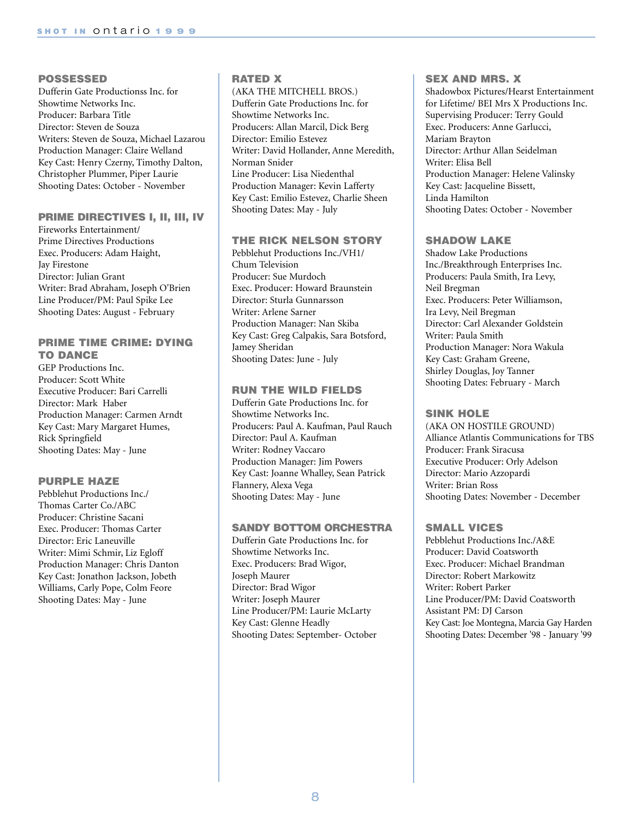#### **POSSESSED**

Dufferin Gate Productionss Inc. for Showtime Networks Inc. Producer: Barbara Title Director: Steven de Souza Writers: Steven de Souza, Michael Lazarou Production Manager: Claire Welland Key Cast: Henry Czerny, Timothy Dalton, Christopher Plummer, Piper Laurie Shooting Dates: October - November

## **PRIME DIRECTIVES I, II, III, IV**

Fireworks Entertainment/ Prime Directives Productions Exec. Producers: Adam Haight, Jay Firestone Director: Julian Grant Writer: Brad Abraham, Joseph O'Brien Line Producer/PM: Paul Spike Lee Shooting Dates: August - February

# **PRIME TIME CRIME: DYING TO DANCE**

GEP Productions Inc. Producer: Scott White Executive Producer: Bari Carrelli Director: Mark Haber Production Manager: Carmen Arndt Key Cast: Mary Margaret Humes, Rick Springfield Shooting Dates: May - June

# **PURPLE HAZE**

Pebblehut Productions Inc./ Thomas Carter Co./ABC Producer: Christine Sacani Exec. Producer: Thomas Carter Director: Eric Laneuville Writer: Mimi Schmir, Liz Egloff Production Manager: Chris Danton Key Cast: Jonathon Jackson, Jobeth Williams, Carly Pope, Colm Feore Shooting Dates: May - June

# **RATED X**

(AKA THE MITCHELL BROS.) Dufferin Gate Productions Inc. for Showtime Networks Inc. Producers: Allan Marcil, Dick Berg Director: Emilio Estevez Writer: David Hollander, Anne Meredith, Norman Snider Line Producer: Lisa Niedenthal Production Manager: Kevin Lafferty Key Cast: Emilio Estevez, Charlie Sheen Shooting Dates: May - July

# **THE RICK NELSON STORY**

Pebblehut Productions Inc./VH1/ Chum Television Producer: Sue Murdoch Exec. Producer: Howard Braunstein Director: Sturla Gunnarsson Writer: Arlene Sarner Production Manager: Nan Skiba Key Cast: Greg Calpakis, Sara Botsford, Jamey Sheridan Shooting Dates: June - July

#### **RUN THE WILD FIELDS**

Dufferin Gate Productions Inc. for Showtime Networks Inc. Producers: Paul A. Kaufman, Paul Rauch Director: Paul A. Kaufman Writer: Rodney Vaccaro Production Manager: Jim Powers Key Cast: Joanne Whalley, Sean Patrick Flannery, Alexa Vega Shooting Dates: May - June

#### **SANDY BOTTOM ORCHESTRA**

Dufferin Gate Productions Inc. for Showtime Networks Inc. Exec. Producers: Brad Wigor, Joseph Maurer Director: Brad Wigor Writer: Joseph Maurer Line Producer/PM: Laurie McLarty Key Cast: Glenne Headly Shooting Dates: September- October

#### **SEX AND MRS. X**

Shadowbox Pictures/Hearst Entertainment for Lifetime/ BEI Mrs X Productions Inc. Supervising Producer: Terry Gould Exec. Producers: Anne Garlucci, Mariam Brayton Director: Arthur Allan Seidelman Writer: Elisa Bell Production Manager: Helene Valinsky Key Cast: Jacqueline Bissett, Linda Hamilton Shooting Dates: October - November

#### **SHADOW LAKE**

Shadow Lake Productions Inc./Breakthrough Enterprises Inc. Producers: Paula Smith, Ira Levy, Neil Bregman Exec. Producers: Peter Williamson, Ira Levy, Neil Bregman Director: Carl Alexander Goldstein Writer: Paula Smith Production Manager: Nora Wakula Key Cast: Graham Greene, Shirley Douglas, Joy Tanner Shooting Dates: February - March

## **SINK HOLE**

(AKA ON HOSTILE GROUND) Alliance Atlantis Communications for TBS Producer: Frank Siracusa Executive Producer: Orly Adelson Director: Mario Azzopardi Writer: Brian Ross Shooting Dates: November - December

# **SMALL VICES**

Pebblehut Productions Inc./A&E Producer: David Coatsworth Exec. Producer: Michael Brandman Director: Robert Markowitz Writer: Robert Parker Line Producer/PM: David Coatsworth Assistant PM: DJ Carson Key Cast: Joe Montegna, Marcia Gay Harden Shooting Dates: December '98 - January '99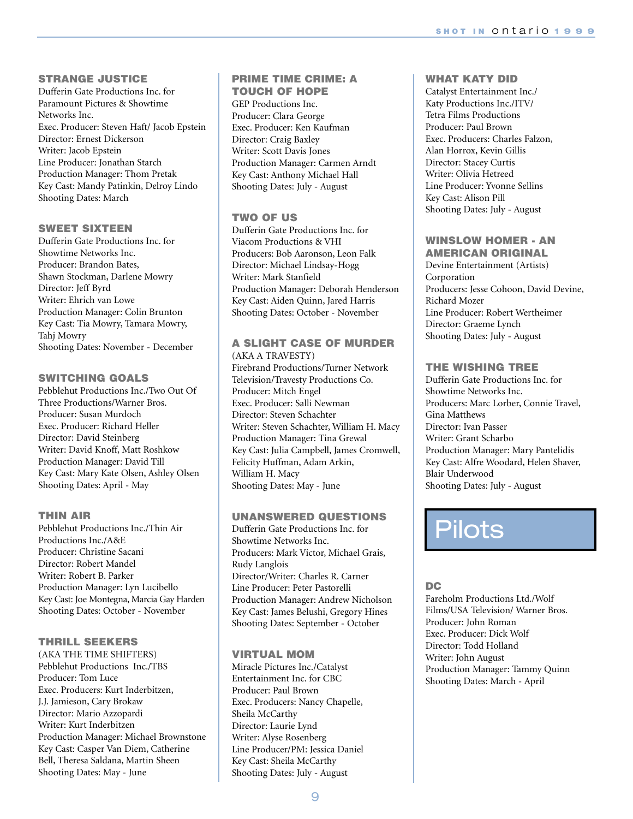# **STRANGE JUSTICE**

Dufferin Gate Productions Inc. for Paramount Pictures & Showtime Networks Inc. Exec. Producer: Steven Haft/ Jacob Epstein Director: Ernest Dickerson Writer: Jacob Epstein Line Producer: Jonathan Starch Production Manager: Thom Pretak Key Cast: Mandy Patinkin, Delroy Lindo Shooting Dates: March

## **SWEET SIXTEEN**

Dufferin Gate Productions Inc. for Showtime Networks Inc. Producer: Brandon Bates, Shawn Stockman, Darlene Mowry Director: Jeff Byrd Writer: Ehrich van Lowe Production Manager: Colin Brunton Key Cast: Tia Mowry, Tamara Mowry, Tahj Mowry Shooting Dates: November - December

## **SWITCHING GOALS**

Pebblehut Productions Inc./Two Out Of Three Productions/Warner Bros. Producer: Susan Murdoch Exec. Producer: Richard Heller Director: David Steinberg Writer: David Knoff, Matt Roshkow Production Manager: David Till Key Cast: Mary Kate Olsen, Ashley Olsen Shooting Dates: April - May

#### **THIN AIR**

Pebblehut Productions Inc./Thin Air Productions Inc./A&E Producer: Christine Sacani Director: Robert Mandel Writer: Robert B. Parker Production Manager: Lyn Lucibello Key Cast: Joe Montegna, Marcia Gay Harden Shooting Dates: October - November

# **THRILL SEEKERS**

(AKA THE TIME SHIFTERS) Pebblehut Productions Inc./TBS Producer: Tom Luce Exec. Producers: Kurt Inderbitzen, J.J. Jamieson, Cary Brokaw Director: Mario Azzopardi Writer: Kurt Inderbitzen Production Manager: Michael Brownstone Key Cast: Casper Van Diem, Catherine Bell, Theresa Saldana, Martin Sheen Shooting Dates: May - June

#### **PRIME TIME CRIME: A TOUCH OF HOPE**

GEP Productions Inc. Producer: Clara George Exec. Producer: Ken Kaufman Director: Craig Baxley Writer: Scott Davis Jones Production Manager: Carmen Arndt Key Cast: Anthony Michael Hall Shooting Dates: July - August

# **TWO OF US**

Dufferin Gate Productions Inc. for Viacom Productions & VHI Producers: Bob Aaronson, Leon Falk Director: Michael Lindsay-Hogg Writer: Mark Stanfield Production Manager: Deborah Henderson Key Cast: Aiden Quinn, Jared Harris Shooting Dates: October - November

#### **A SLIGHT CASE OF MURDER**  (AKA A TRAVESTY)

Firebrand Productions/Turner Network Television/Travesty Productions Co. Producer: Mitch Engel Exec. Producer: Salli Newman Director: Steven Schachter Writer: Steven Schachter, William H. Macy Production Manager: Tina Grewal Key Cast: Julia Campbell, James Cromwell, Felicity Huffman, Adam Arkin, William H. Macy Shooting Dates: May - June

# **UNANSWERED QUESTIONS**

Dufferin Gate Productions Inc. for Showtime Networks Inc. Producers: Mark Victor, Michael Grais, Rudy Langlois Director/Writer: Charles R. Carner Line Producer: Peter Pastorelli Production Manager: Andrew Nicholson Key Cast: James Belushi, Gregory Hines Shooting Dates: September - October

# **VIRTUAL MOM**

Miracle Pictures Inc./Catalyst Entertainment Inc. for CBC Producer: Paul Brown Exec. Producers: Nancy Chapelle, Sheila McCarthy Director: Laurie Lynd Writer: Alyse Rosenberg Line Producer/PM: Jessica Daniel Key Cast: Sheila McCarthy Shooting Dates: July - August

# **WHAT KATY DID**

Catalyst Entertainment Inc./ Katy Productions Inc./ITV/ Tetra Films Productions Producer: Paul Brown Exec. Producers: Charles Falzon, Alan Horrox, Kevin Gillis Director: Stacey Curtis Writer: Olivia Hetreed Line Producer: Yvonne Sellins Key Cast: Alison Pill Shooting Dates: July - August

# **WINSLOW HOMER - AN**

**AMERICAN ORIGINAL** Devine Entertainment (Artists) Corporation Producers: Jesse Cohoon, David Devine, Richard Mozer Line Producer: Robert Wertheimer Director: Graeme Lynch Shooting Dates: July - August

# **THE WISHING TREE**

Dufferin Gate Productions Inc. for Showtime Networks Inc. Producers: Marc Lorber, Connie Travel, Gina Matthews Director: Ivan Passer Writer: Grant Scharbo Production Manager: Mary Pantelidis Key Cast: Alfre Woodard, Helen Shaver, Blair Underwood Shooting Dates: July - August

# **Pilots**

# **DC**

Fareholm Productions Ltd./Wolf Films/USA Television/ Warner Bros. Producer: John Roman Exec. Producer: Dick Wolf Director: Todd Holland Writer: John August Production Manager: Tammy Quinn Shooting Dates: March - April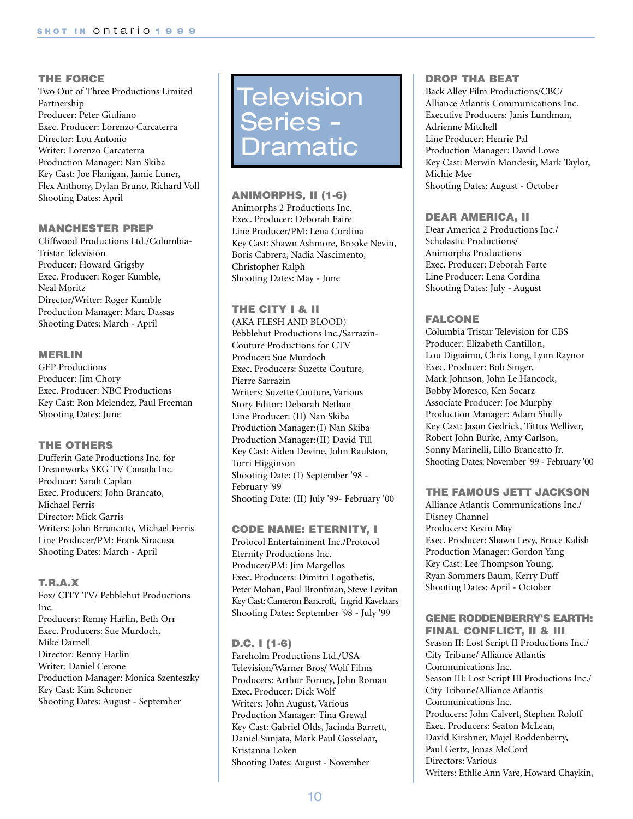# **THE FORCE**

Two Out of Three Productions Limited Partnership Producer: Peter Giuliano Exec. Producer: Lorenzo Carcaterra Director: Lou Antonio Writer: Lorenzo Carcaterra Production Manager: Nan Skiba Key Cast: Joe Flanigan, Jamie Luner, Flex Anthony, Dylan Bruno, Richard Voll Shooting Dates: April

#### **MANCHESTER PREP**

Cliffwood Productions Ltd./Columbia-Tristar Television Producer: Howard Grigsby Exec. Producer: Roger Kumble, Neal Moritz Director/Writer: Roger Kumble Production Manager: Marc Dassas Shooting Dates: March - April

#### **MERLIN**

GEP Productions Producer: Jim Chory Exec. Producer: NBC Productions Key Cast: Ron Melendez, Paul Freeman Shooting Dates: June

#### **THE OTHERS**

Dufferin Gate Productions Inc. for Dreamworks SKG TV Canada Inc. Producer: Sarah Caplan Exec. Producers: John Brancato, Michael Ferris Director: Mick Garris Writers: John Brrancuto, Michael Ferris Line Producer/PM: Frank Siracusa Shooting Dates: March - April

#### **T.R.A.X**

Fox/ CITY TV/ Pebblehut Productions Inc. Producers: Renny Harlin, Beth Orr Exec. Producers: Sue Murdoch, Mike Darnell Director: Renny Harlin Writer: Daniel Cerone Production Manager: Monica Szenteszky Key Cast: Kim Schroner Shooting Dates: August - September

# Television Series - Dramatic

**ANIMORPHS, II (1-6)** Animorphs 2 Productions Inc. Exec. Producer: Deborah Faire Line Producer/PM: Lena Cordina Key Cast: Shawn Ashmore, Brooke Nevin, Boris Cabrera, Nadia Nascimento, Christopher Ralph Shooting Dates: May - June

# **THE CITY I & II**

(AKA FLESH AND BLOOD) Pebblehut Productions Inc./Sarrazin-Couture Productions for CTV Producer: Sue Murdoch Exec. Producers: Suzette Couture, Pierre Sarrazin Writers: Suzette Couture, Various Story Editor: Deborah Nethan Line Producer: (II) Nan Skiba Production Manager:(I) Nan Skiba Production Manager:(II) David Till Key Cast: Aiden Devine, John Raulston, Torri Higginson Shooting Date: (I) September '98 - February '99 Shooting Date: (II) July '99- February '00

#### **CODE NAME: ETERNITY, I**

Protocol Entertainment Inc./Protocol Eternity Productions Inc. Producer/PM: Jim Margellos Exec. Producers: Dimitri Logothetis, Peter Mohan, Paul Bronfman, Steve Levitan Key Cast: Cameron Bancroft, Ingrid Kavelaars Shooting Dates: September '98 - July '99

#### **D.C. I (1-6)**

Fareholm Productions Ltd./USA Television/Warner Bros/ Wolf Films Producers: Arthur Forney, John Roman Exec. Producer: Dick Wolf Writers: John August, Various Production Manager: Tina Grewal Key Cast: Gabriel Olds, Jacinda Barrett, Daniel Sunjata, Mark Paul Gosselaar, Kristanna Loken Shooting Dates: August - November

#### **DROP THA BEAT**

Back Alley Film Productions/CBC/ Alliance Atlantis Communications Inc. Executive Producers: Janis Lundman, Adrienne Mitchell Line Producer: Henrie Pal Production Manager: David Lowe Key Cast: Merwin Mondesir, Mark Taylor, Michie Mee Shooting Dates: August - October

#### **DEAR AMERICA, II**

Dear America 2 Productions Inc./ Scholastic Productions/ Animorphs Productions Exec. Producer: Deborah Forte Line Producer: Lena Cordina Shooting Dates: July - August

#### **FALCONE**

Columbia Tristar Television for CBS Producer: Elizabeth Cantillon, Lou Digiaimo, Chris Long, Lynn Raynor Exec. Producer: Bob Singer, Mark Johnson, John Le Hancock, Bobby Moresco, Ken Socarz Associate Producer: Joe Murphy Production Manager: Adam Shully Key Cast: Jason Gedrick, Tittus Welliver, Robert John Burke, Amy Carlson, Sonny Marinelli, Lillo Brancatto Jr. Shooting Dates: November '99 - February '00

# **THE FAMOUS JETT JACKSON**

Alliance Atlantis Communications Inc./ Disney Channel Producers: Kevin May Exec. Producer: Shawn Levy, Bruce Kalish Production Manager: Gordon Yang Key Cast: Lee Thompson Young, Ryan Sommers Baum, Kerry Duff Shooting Dates: April - October

#### **GENE RODDENBERRY'S EARTH: FINAL CONFLICT, II & III**

Season II: Lost Script II Productions Inc./ City Tribune/ Alliance Atlantis Communications Inc. Season III: Lost Script III Productions Inc./ City Tribune/Alliance Atlantis Communications Inc. Producers: John Calvert, Stephen Roloff Exec. Producers: Seaton McLean, David Kirshner, Majel Roddenberry, Paul Gertz, Jonas McCord Directors: Various Writers: Ethlie Ann Vare, Howard Chaykin,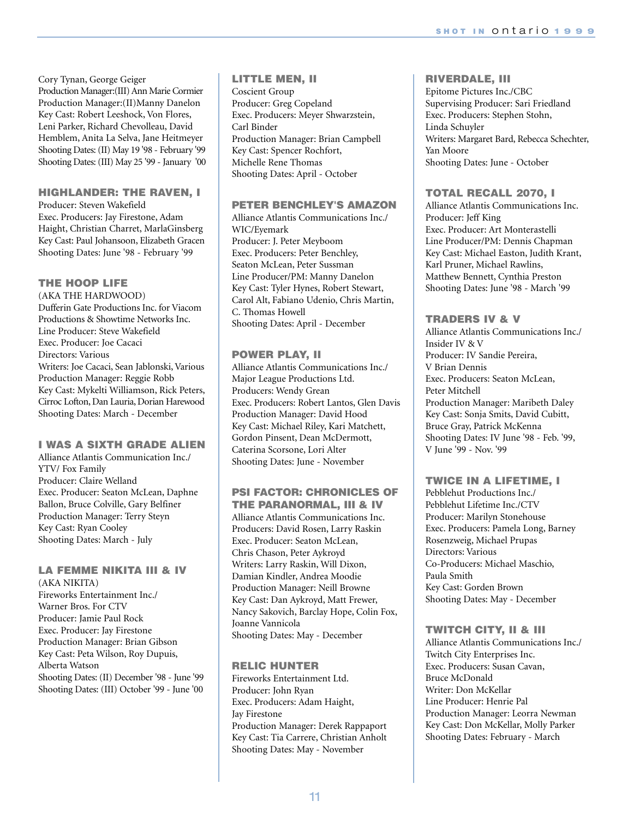11

Cory Tynan, George Geiger Production Manager:(III) Ann Marie Cormier Production Manager:(II)Manny Danelon Key Cast: Robert Leeshock, Von Flores, Leni Parker, Richard Chevolleau, David Hemblem, Anita La Selva, Jane Heitmeyer Shooting Dates: (II) May 19 '98 - February '99 Shooting Dates: (III) May 25 '99 - January '00

#### **HIGHLANDER: THE RAVEN, I**

Producer: Steven Wakefield Exec. Producers: Jay Firestone, Adam Haight, Christian Charret, MarlaGinsberg Key Cast: Paul Johansoon, Elizabeth Gracen Shooting Dates: June '98 - February '99

## **THE HOOP LIFE**

(AKA THE HARDWOOD) Dufferin Gate Productions Inc. for Viacom Productions & Showtime Networks Inc. Line Producer: Steve Wakefield Exec. Producer: Joe Cacaci Directors: Various Writers: Joe Cacaci, Sean Jablonski, Various Production Manager: Reggie Robb Key Cast: Mykelti Williamson, Rick Peters, Cirroc Lofton, Dan Lauria, Dorian Harewood Shooting Dates: March - December

# **I WAS A SIXTH GRADE ALIEN**

Alliance Atlantis Communication Inc./ YTV/ Fox Family Producer: Claire Welland Exec. Producer: Seaton McLean, Daphne Ballon, Bruce Colville, Gary Belfiner Production Manager: Terry Steyn Key Cast: Ryan Cooley Shooting Dates: March - July

#### **LA FEMME NIKITA III & IV**  (AKA NIKITA)

Fireworks Entertainment Inc./ Warner Bros. For CTV Producer: Jamie Paul Rock Exec. Producer: Jay Firestone Production Manager: Brian Gibson Key Cast: Peta Wilson, Roy Dupuis, Alberta Watson Shooting Dates: (II) December '98 - June '99 Shooting Dates: (III) October '99 - June '00

# **LITTLE MEN, II**

Coscient Group Producer: Greg Copeland Exec. Producers: Meyer Shwarzstein, Carl Binder Production Manager: Brian Campbell Key Cast: Spencer Rochfort, Michelle Rene Thomas Shooting Dates: April - October

#### **PETER BENCHLEY'S AMAZON**

Alliance Atlantis Communications Inc./ WIC/Eyemark Producer: J. Peter Meyboom Exec. Producers: Peter Benchley, Seaton McLean, Peter Sussman Line Producer/PM: Manny Danelon Key Cast: Tyler Hynes, Robert Stewart, Carol Alt, Fabiano Udenio, Chris Martin, C. Thomas Howell Shooting Dates: April - December

# **POWER PLAY, II**

Alliance Atlantis Communications Inc./ Major League Productions Ltd. Producers: Wendy Grean Exec. Producers: Robert Lantos, Glen Davis Production Manager: David Hood Key Cast: Michael Riley, Kari Matchett, Gordon Pinsent, Dean McDermott, Caterina Scorsone, Lori Alter Shooting Dates: June - November

# **PSI FACTOR: CHRONICLES OF**

**THE PARANORMAL, III & IV** Alliance Atlantis Communications Inc. Producers: David Rosen, Larry Raskin Exec. Producer: Seaton McLean, Chris Chason, Peter Aykroyd Writers: Larry Raskin, Will Dixon, Damian Kindler, Andrea Moodie Production Manager: Neill Browne Key Cast: Dan Aykroyd, Matt Frewer, Nancy Sakovich, Barclay Hope, Colin Fox, Joanne Vannicola Shooting Dates: May - December

#### **RELIC HUNTER**

Fireworks Entertainment Ltd. Producer: John Ryan Exec. Producers: Adam Haight, Jay Firestone Production Manager: Derek Rappaport Key Cast: Tia Carrere, Christian Anholt Shooting Dates: May - November

## **RIVERDALE, III**

Epitome Pictures Inc./CBC Supervising Producer: Sari Friedland Exec. Producers: Stephen Stohn, Linda Schuyler Writers: Margaret Bard, Rebecca Schechter, Yan Moore Shooting Dates: June - October

# **TOTAL RECALL 2070, I**

Alliance Atlantis Communications Inc. Producer: Jeff King Exec. Producer: Art Monterastelli Line Producer/PM: Dennis Chapman Key Cast: Michael Easton, Judith Krant, Karl Pruner, Michael Rawlins, Matthew Bennett, Cynthia Preston Shooting Dates: June '98 - March '99

# **TRADERS IV & V**

Alliance Atlantis Communications Inc./ Insider IV & V Producer: IV Sandie Pereira, V Brian Dennis Exec. Producers: Seaton McLean, Peter Mitchell Production Manager: Maribeth Daley Key Cast: Sonja Smits, David Cubitt, Bruce Gray, Patrick McKenna Shooting Dates: IV June '98 - Feb. '99, V June '99 - Nov. '99

# **TWICE IN A LIFETIME, I**

Pebblehut Productions Inc./ Pebblehut Lifetime Inc./CTV Producer: Marilyn Stonehouse Exec. Producers: Pamela Long, Barney Rosenzweig, Michael Prupas Directors: Various Co-Producers: Michael Maschio, Paula Smith Key Cast: Gorden Brown Shooting Dates: May - December

#### **TWITCH CITY, II & III**

Alliance Atlantis Communications Inc./ Twitch City Enterprises Inc. Exec. Producers: Susan Cavan, Bruce McDonald Writer: Don McKellar Line Producer: Henrie Pal Production Manager: Leorra Newman Key Cast: Don McKellar, Molly Parker Shooting Dates: February - March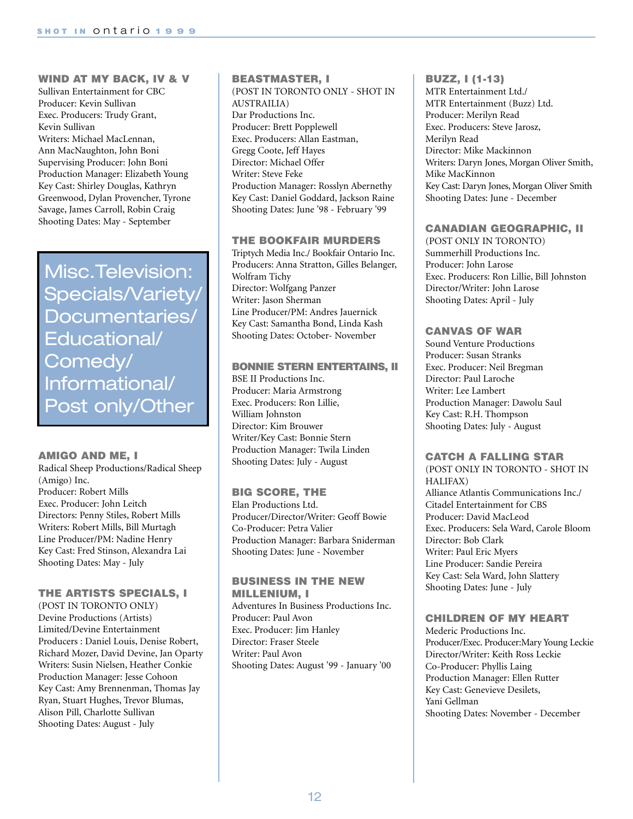**WIND AT MY BACK, IV & V**  Sullivan Entertainment for CBC Producer: Kevin Sullivan Exec. Producers: Trudy Grant, Kevin Sullivan Writers: Michael MacLennan, Ann MacNaughton, John Boni Supervising Producer: John Boni Production Manager: Elizabeth Young Key Cast: Shirley Douglas, Kathryn Greenwood, Dylan Provencher, Tyrone Savage, James Carroll, Robin Craig Shooting Dates: May - September

Misc.Television: Specials/Variety/ Documentaries/ Educational/ Comedy/ Informational/ Post only/Other

#### **AMIGO AND ME, I**

Radical Sheep Productions/Radical Sheep (Amigo) Inc. Producer: Robert Mills Exec. Producer: John Leitch Directors: Penny Stiles, Robert Mills Writers: Robert Mills, Bill Murtagh Line Producer/PM: Nadine Henry Key Cast: Fred Stinson, Alexandra Lai Shooting Dates: May - July

# **THE ARTISTS SPECIALS, I**

(POST IN TORONTO ONLY) Devine Productions (Artists) Limited/Devine Entertainment Producers : Daniel Louis, Denise Robert, Richard Mozer, David Devine, Jan Oparty Writers: Susin Nielsen, Heather Conkie Production Manager: Jesse Cohoon Key Cast: Amy Brennenman, Thomas Jay Ryan, Stuart Hughes, Trevor Blumas, Alison Pill, Charlotte Sullivan Shooting Dates: August - July

# **BEASTMASTER, I**  (POST IN TORONTO ONLY - SHOT IN AUSTRAILIA) Dar Productions Inc. Producer: Brett Popplewell Exec. Producers: Allan Eastman, Gregg Coote, Jeff Hayes Director: Michael Offer Writer: Steve Feke Production Manager: Rosslyn Abernethy Key Cast: Daniel Goddard, Jackson Raine Shooting Dates: June '98 - February '99

#### **THE BOOKFAIR MURDERS**

Triptych Media Inc./ Bookfair Ontario Inc. Producers: Anna Stratton, Gilles Belanger, Wolfram Tichy Director: Wolfgang Panzer Writer: Jason Sherman Line Producer/PM: Andres Jauernick Key Cast: Samantha Bond, Linda Kash Shooting Dates: October- November

#### **BONNIE STERN ENTERTAINS, II**

BSE II Productions Inc. Producer: Maria Armstrong Exec. Producers: Ron Lillie, William Johnston Director: Kim Brouwer Writer/Key Cast: Bonnie Stern Production Manager: Twila Linden Shooting Dates: July - August

# **BIG SCORE, THE**

Elan Productions Ltd. Producer/Director/Writer: Geoff Bowie Co-Producer: Petra Valier Production Manager: Barbara Sniderman Shooting Dates: June - November

#### **BUSINESS IN THE NEW MILLENIUM, I**

Adventures In Business Productions Inc. Producer: Paul Avon Exec. Producer: Jim Hanley Director: Fraser Steele Writer: Paul Avon Shooting Dates: August '99 - January '00

#### **BUZZ, I (1-13)**

MTR Entertainment Ltd./ MTR Entertainment (Buzz) Ltd. Producer: Merilyn Read Exec. Producers: Steve Jarosz, Merilyn Read Director: Mike Mackinnon Writers: Daryn Jones, Morgan Oliver Smith, Mike MacKinnon Key Cast: Daryn Jones, Morgan Oliver Smith Shooting Dates: June - December

#### **CANADIAN GEOGRAPHIC, II**

(POST ONLY IN TORONTO) Summerhill Productions Inc. Producer: John Larose Exec. Producers: Ron Lillie, Bill Johnston Director/Writer: John Larose Shooting Dates: April - July

# **CANVAS OF WAR**

Sound Venture Productions Producer: Susan Stranks Exec. Producer: Neil Bregman Director: Paul Laroche Writer: Lee Lambert Production Manager: Dawolu Saul Key Cast: R.H. Thompson Shooting Dates: July - August

# **CATCH A FALLING STAR**

(POST ONLY IN TORONTO - SHOT IN HALIFAX) Alliance Atlantis Communications Inc./ Citadel Entertainment for CBS Producer: David MacLeod Exec. Producers: Sela Ward, Carole Bloom Director: Bob Clark Writer: Paul Eric Myers Line Producer: Sandie Pereira Key Cast: Sela Ward, John Slattery Shooting Dates: June - July

#### **CHILDREN OF MY HEART**

Mederic Productions Inc. Producer/Exec. Producer:Mary Young Leckie Director/Writer: Keith Ross Leckie Co-Producer: Phyllis Laing Production Manager: Ellen Rutter Key Cast: Genevieve Desilets, Yani Gellman Shooting Dates: November - December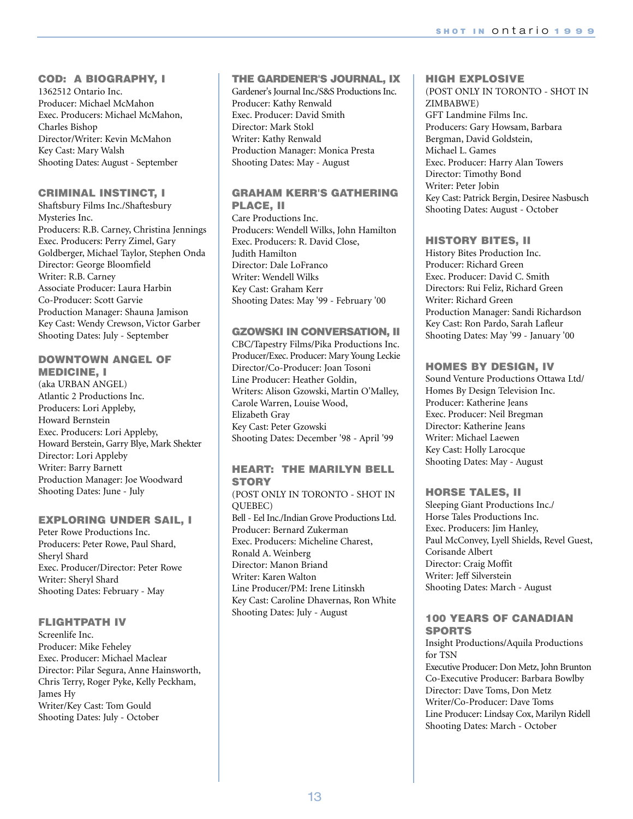# **COD: A BIOGRAPHY, I**

1362512 Ontario Inc. Producer: Michael McMahon Exec. Producers: Michael McMahon, Charles Bishop Director/Writer: Kevin McMahon Key Cast: Mary Walsh Shooting Dates: August - September

# **CRIMINAL INSTINCT, I**

Shaftsbury Films Inc./Shaftesbury Mysteries Inc. Producers: R.B. Carney, Christina Jennings Exec. Producers: Perry Zimel, Gary Goldberger, Michael Taylor, Stephen Onda Director: George Bloomfield Writer: R.B. Carney Associate Producer: Laura Harbin Co-Producer: Scott Garvie Production Manager: Shauna Jamison Key Cast: Wendy Crewson, Victor Garber Shooting Dates: July - September

# **DOWNTOWN ANGEL OF MEDICINE, I**

(aka URBAN ANGEL) Atlantic 2 Productions Inc. Producers: Lori Appleby, Howard Bernstein Exec. Producers: Lori Appleby, Howard Berstein, Garry Blye, Mark Shekter Director: Lori Appleby Writer: Barry Barnett Production Manager: Joe Woodward Shooting Dates: June - July

# **EXPLORING UNDER SAIL, I**

Peter Rowe Productions Inc. Producers: Peter Rowe, Paul Shard, Sheryl Shard Exec. Producer/Director: Peter Rowe Writer: Sheryl Shard Shooting Dates: February - May

# **FLIGHTPATH IV**

Screenlife Inc. Producer: Mike Feheley Exec. Producer: Michael Maclear Director: Pilar Segura, Anne Hainsworth, Chris Terry, Roger Pyke, Kelly Peckham, James Hy Writer/Key Cast: Tom Gould Shooting Dates: July - October

# **THE GARDENER'S JOURNAL, IX**

Gardener's Journal Inc./S&S Productions Inc. Producer: Kathy Renwald Exec. Producer: David Smith Director: Mark Stokl Writer: Kathy Renwald Production Manager: Monica Presta Shooting Dates: May - August

# **GRAHAM KERR'S GATHERING PLACE, II**

Care Productions Inc. Producers: Wendell Wilks, John Hamilton Exec. Producers: R. David Close, Judith Hamilton Director: Dale LoFranco Writer: Wendell Wilks Key Cast: Graham Kerr Shooting Dates: May '99 - February '00

# **GZOWSKI IN CONVERSATION, II**

CBC/Tapestry Films/Pika Productions Inc. Producer/Exec. Producer: Mary Young Leckie Director/Co-Producer: Joan Tosoni Line Producer: Heather Goldin, Writers: Alison Gzowski, Martin O'Malley, Carole Warren, Louise Wood, Elizabeth Gray Key Cast: Peter Gzowski Shooting Dates: December '98 - April '99

# **HEART: THE MARILYN BELL STORY**

(POST ONLY IN TORONTO - SHOT IN QUEBEC) Bell - Eel Inc./Indian Grove Productions Ltd. Producer: Bernard Zukerman Exec. Producers: Micheline Charest, Ronald A. Weinberg Director: Manon Briand Writer: Karen Walton Line Producer/PM: Irene Litinskh Key Cast: Caroline Dhavernas, Ron White Shooting Dates: July - August

# **HIGH EXPLOSIVE**

(POST ONLY IN TORONTO - SHOT IN ZIMBABWE) GFT Landmine Films Inc. Producers: Gary Howsam, Barbara Bergman, David Goldstein, Michael L. Games Exec. Producer: Harry Alan Towers Director: Timothy Bond Writer: Peter Jobin Key Cast: Patrick Bergin, Desiree Nasbusch Shooting Dates: August - October

# **HISTORY BITES, II**

History Bites Production Inc. Producer: Richard Green Exec. Producer: David C. Smith Directors: Rui Feliz, Richard Green Writer: Richard Green Production Manager: Sandi Richardson Key Cast: Ron Pardo, Sarah Lafleur Shooting Dates: May '99 - January '00

# **HOMES BY DESIGN, IV**

Sound Venture Productions Ottawa Ltd/ Homes By Design Television Inc. Producer: Katherine Jeans Exec. Producer: Neil Bregman Director: Katherine Jeans Writer: Michael Laewen Key Cast: Holly Larocque Shooting Dates: May - August

# **HORSE TALES, II**

Sleeping Giant Productions Inc./ Horse Tales Productions Inc. Exec. Producers: Jim Hanley, Paul McConvey, Lyell Shields, Revel Guest, Corisande Albert Director: Craig Moffit Writer: Jeff Silverstein Shooting Dates: March - August

# **100 YEARS OF CANADIAN SPORTS**

Insight Productions/Aquila Productions for TSN Executive Producer: Don Metz, John Brunton Co-Executive Producer: Barbara Bowlby Director: Dave Toms, Don Metz Writer/Co-Producer: Dave Toms Line Producer: Lindsay Cox, Marilyn Ridell Shooting Dates: March - October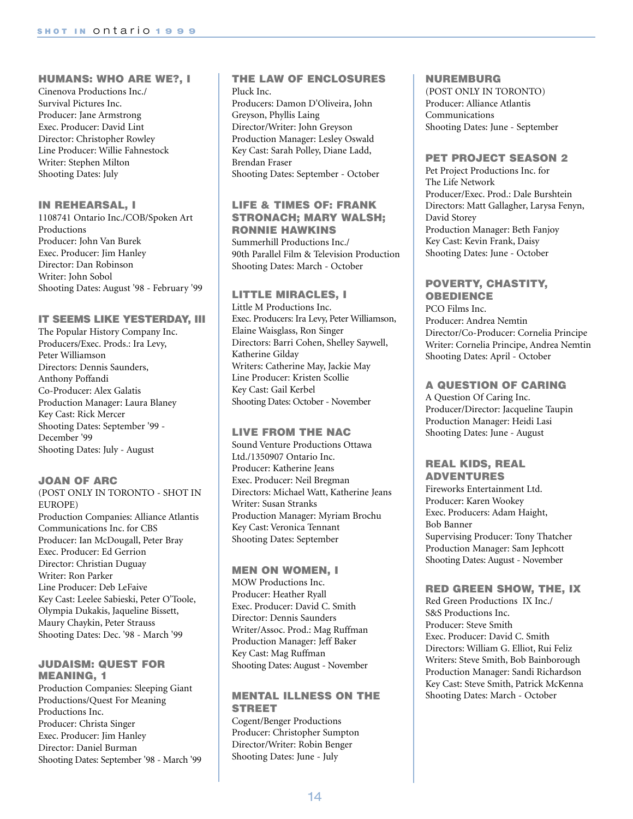## **HUMANS: WHO ARE WE?, I**

Cinenova Productions Inc./ Survival Pictures Inc. Producer: Jane Armstrong Exec. Producer: David Lint Director: Christopher Rowley Line Producer: Willie Fahnestock Writer: Stephen Milton Shooting Dates: July

#### **IN REHEARSAL, I**

1108741 Ontario Inc./COB/Spoken Art Productions Producer: John Van Burek Exec. Producer: Jim Hanley Director: Dan Robinson Writer: John Sobol Shooting Dates: August '98 - February '99

#### **IT SEEMS LIKE YESTERDAY, III**

The Popular History Company Inc. Producers/Exec. Prods.: Ira Levy, Peter Williamson Directors: Dennis Saunders, Anthony Poffandi Co-Producer: Alex Galatis Production Manager: Laura Blaney Key Cast: Rick Mercer Shooting Dates: September '99 - December '99 Shooting Dates: July - August

#### **JOAN OF ARC**

(POST ONLY IN TORONTO - SHOT IN EUROPE) Production Companies: Alliance Atlantis Communications Inc. for CBS Producer: Ian McDougall, Peter Bray Exec. Producer: Ed Gerrion Director: Christian Duguay Writer: Ron Parker Line Producer: Deb LeFaive Key Cast: Leelee Sabieski, Peter O'Toole, Olympia Dukakis, Jaqueline Bissett, Maury Chaykin, Peter Strauss Shooting Dates: Dec. '98 - March '99

#### **JUDAISM: QUEST FOR MEANING, 1**

Production Companies: Sleeping Giant Productions/Quest For Meaning Productions Inc. Producer: Christa Singer Exec. Producer: Jim Hanley Director: Daniel Burman Shooting Dates: September '98 - March '99

#### **THE LAW OF ENCLOSURES** Pluck Inc.

Producers: Damon D'Oliveira, John Greyson, Phyllis Laing Director/Writer: John Greyson Production Manager: Lesley Oswald Key Cast: Sarah Polley, Diane Ladd, Brendan Fraser Shooting Dates: September - October

# **LIFE & TIMES OF: FRANK STRONACH; MARY WALSH; RONNIE HAWKINS**

Summerhill Productions Inc./ 90th Parallel Film & Television Production Shooting Dates: March - October

#### **LITTLE MIRACLES, I**

Little M Productions Inc. Exec. Producers: Ira Levy, Peter Williamson, Elaine Waisglass, Ron Singer Directors: Barri Cohen, Shelley Saywell, Katherine Gilday Writers: Catherine May, Jackie May Line Producer: Kristen Scollie Key Cast: Gail Kerbel Shooting Dates: October - November

# **LIVE FROM THE NAC**

Sound Venture Productions Ottawa Ltd./1350907 Ontario Inc. Producer: Katherine Jeans Exec. Producer: Neil Bregman Directors: Michael Watt, Katherine Jeans Writer: Susan Stranks Production Manager: Myriam Brochu Key Cast: Veronica Tennant Shooting Dates: September

#### **MEN ON WOMEN, I**

MOW Productions Inc. Producer: Heather Ryall Exec. Producer: David C. Smith Director: Dennis Saunders Writer/Assoc. Prod.: Mag Ruffman Production Manager: Jeff Baker Key Cast: Mag Ruffman Shooting Dates: August - November

# **MENTAL ILLNESS ON THE STREET**

Cogent/Benger Productions Producer: Christopher Sumpton Director/Writer: Robin Benger Shooting Dates: June - July

#### **NUREMBURG**

(POST ONLY IN TORONTO) Producer: Alliance Atlantis Communications Shooting Dates: June - September

#### **PET PROJECT SEASON 2**

Pet Project Productions Inc. for The Life Network Producer/Exec. Prod.: Dale Burshtein Directors: Matt Gallagher, Larysa Fenyn, David Storey Production Manager: Beth Fanjoy Key Cast: Kevin Frank, Daisy Shooting Dates: June - October

# **POVERTY, CHASTITY, OBEDIENCE**

PCO Films Inc. Producer: Andrea Nemtin Director/Co-Producer: Cornelia Principe Writer: Cornelia Principe, Andrea Nemtin Shooting Dates: April - October

# **A QUESTION OF CARING**

A Question Of Caring Inc. Producer/Director: Jacqueline Taupin Production Manager: Heidi Lasi Shooting Dates: June - August

# **REAL KIDS, REAL ADVENTURES**

Fireworks Entertainment Ltd. Producer: Karen Wookey Exec. Producers: Adam Haight, Bob Banner Supervising Producer: Tony Thatcher Production Manager: Sam Jephcott Shooting Dates: August - November

#### **RED GREEN SHOW, THE, IX**

Red Green Productions IX Inc./ S&S Productions Inc. Producer: Steve Smith Exec. Producer: David C. Smith Directors: William G. Elliot, Rui Feliz Writers: Steve Smith, Bob Bainborough Production Manager: Sandi Richardson Key Cast: Steve Smith, Patrick McKenna Shooting Dates: March - October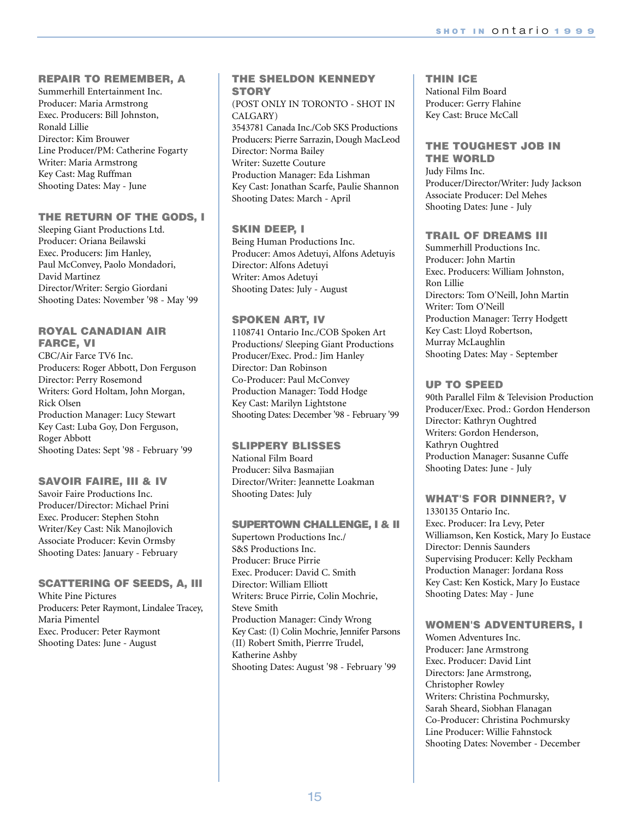# **REPAIR TO REMEMBER, A**

Summerhill Entertainment Inc. Producer: Maria Armstrong Exec. Producers: Bill Johnston, Ronald Lillie Director: Kim Brouwer Line Producer/PM: Catherine Fogarty Writer: Maria Armstrong Key Cast: Mag Ruffman Shooting Dates: May - June

# **THE RETURN OF THE GODS, I**

Sleeping Giant Productions Ltd. Producer: Oriana Beilawski Exec. Producers: Jim Hanley, Paul McConvey, Paolo Mondadori, David Martinez Director/Writer: Sergio Giordani Shooting Dates: November '98 - May '99

#### **ROYAL CANADIAN AIR FARCE, VI**

CBC/Air Farce TV6 Inc. Producers: Roger Abbott, Don Ferguson Director: Perry Rosemond Writers: Gord Holtam, John Morgan, Rick Olsen Production Manager: Lucy Stewart Key Cast: Luba Goy, Don Ferguson, Roger Abbott Shooting Dates: Sept '98 - February '99

# **SAVOIR FAIRE, III & IV**

Savoir Faire Productions Inc. Producer/Director: Michael Prini Exec. Producer: Stephen Stohn Writer/Key Cast: Nik Manojlovich Associate Producer: Kevin Ormsby Shooting Dates: January - February

# **SCATTERING OF SEEDS, A, III**

White Pine Pictures Producers: Peter Raymont, Lindalee Tracey, Maria Pimentel Exec. Producer: Peter Raymont Shooting Dates: June - August

# **THE SHELDON KENNEDY STORY**

#### (POST ONLY IN TORONTO - SHOT IN CALGARY)

3543781 Canada Inc./Cob SKS Productions Producers: Pierre Sarrazin, Dough MacLeod Director: Norma Bailey Writer: Suzette Couture Production Manager: Eda Lishman Key Cast: Jonathan Scarfe, Paulie Shannon Shooting Dates: March - April

# **SKIN DEEP, I**

Being Human Productions Inc. Producer: Amos Adetuyi, Alfons Adetuyis Director: Alfons Adetuyi Writer: Amos Adetuyi Shooting Dates: July - August

# **SPOKEN ART, IV**

1108741 Ontario Inc./COB Spoken Art Productions/ Sleeping Giant Productions Producer/Exec. Prod.: Jim Hanley Director: Dan Robinson Co-Producer: Paul McConvey Production Manager: Todd Hodge Key Cast: Marilyn Lightstone Shooting Dates: December '98 - February '99

# **SLIPPERY BLISSES**

National Film Board Producer: Silva Basmajian Director/Writer: Jeannette Loakman Shooting Dates: July

# **SUPERTOWN CHALLENGE, I & II**

Supertown Productions Inc./ S&S Productions Inc. Producer: Bruce Pirrie Exec. Producer: David C. Smith Director: William Elliott Writers: Bruce Pirrie, Colin Mochrie, Steve Smith Production Manager: Cindy Wrong Key Cast: (I) Colin Mochrie, Jennifer Parsons (II) Robert Smith, Pierrre Trudel, Katherine Ashby Shooting Dates: August '98 - February '99

#### **THIN ICE** National Film Board

Producer: Gerry Flahine Key Cast: Bruce McCall

# **THE TOUGHEST JOB IN**

**THE WORLD** Judy Films Inc. Producer/Director/Writer: Judy Jackson Associate Producer: Del Mehes Shooting Dates: June - July

# **TRAIL OF DREAMS III**

Summerhill Productions Inc. Producer: John Martin Exec. Producers: William Johnston, Ron Lillie Directors: Tom O'Neill, John Martin Writer: Tom O'Neill Production Manager: Terry Hodgett Key Cast: Lloyd Robertson, Murray McLaughlin Shooting Dates: May - September

# **UP TO SPEED**

90th Parallel Film & Television Production Producer/Exec. Prod.: Gordon Henderson Director: Kathryn Oughtred Writers: Gordon Henderson, Kathryn Oughtred Production Manager: Susanne Cuffe Shooting Dates: June - July

# **WHAT'S FOR DINNER?, V**

1330135 Ontario Inc. Exec. Producer: Ira Levy, Peter Williamson, Ken Kostick, Mary Jo Eustace Director: Dennis Saunders Supervising Producer: Kelly Peckham Production Manager: Jordana Ross Key Cast: Ken Kostick, Mary Jo Eustace Shooting Dates: May - June

# **WOMEN'S ADVENTURERS, I**

Women Adventures Inc. Producer: Jane Armstrong Exec. Producer: David Lint Directors: Jane Armstrong, Christopher Rowley Writers: Christina Pochmursky, Sarah Sheard, Siobhan Flanagan Co-Producer: Christina Pochmursky Line Producer: Willie Fahnstock Shooting Dates: November - December